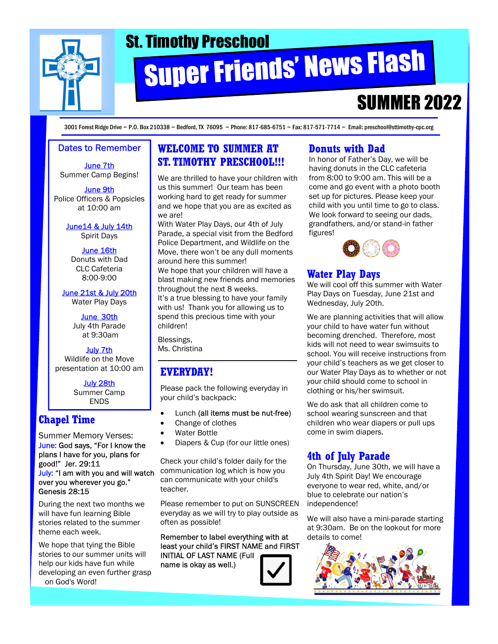

# St. Timothy Preschool<br>Super Friends' News Flash

# **SUMMER 2022**

3001 Forest Ridge Drive ~ P.O. Box 210338 ~ Bedford, TX 76095 ~ Phone: 817-685-6751 ~ Fax: 817-571-7714 ~ Email: preschool@sttimothy-cpc.org

#### Dates to Remember

June 7th Summer Camp Begins!

June 9th Police Officers & Popsicles at 10:00 am

> June14 & July 14th Spirit Days

June 16th Donuts with Dad CLC Cafeteria 8:00-9:00

June 21st & July 20th Water Play Days

> June 30th July 4th Parade at 9:30am

July 7th Wildlife on the Move presentation at 10:00 am

> July 28th Summer Camp ENDS

## Chapel Time

Summer Memory Verses: June: God says, "For I know the plans I have for you, plans for good!" Jer. 29:11 July: "I am with you and will watch over you wherever you go." Genesis 28:15

During the next two months we will have fun learning Bible stories related to the summer theme each week.

We hope that tying the Bible stories to our summer units will help our kids have fun while developing an even further grasp on God's Word!

#### WELCOME TO SUMMER AT ST. TIMOTHY PRESCHOOL!!!

We are thrilled to have your children with us this summer! Our team has been working hard to get ready for summer and we hope that you are as excited as we are!

With Water Play Days, our 4th of July Parade, a special visit from the Bedford Police Department, and Wildlife on the Move, there won't be any dull moments around here this summer! We hope that your children will have a blast making new friends and memories throughout the next 8 weeks.

It's a true blessing to have your family with us! Thank you for allowing us to spend this precious time with your children!

Blessings, Ms. Christina

### EVERYDAY!

Please pack the following everyday in your child's backpack:

- Lunch (all items must be nut-free)
- Change of clothes
- · Water Bottle
- Diapers & Cup (for our little ones)

Check your child's folder daily for the communication log which is how you can communicate with your child's teacher.

Please remember to put on SUNSCREEN everyday as we will try to play outside as often as possible!

Remember to label everything with at least your child's FIRST NAME and FIRST INITIAL OF LAST NAME (Full name is okay as well.)



#### Donuts with Dad

In honor of Father's Day, we will be having donuts in the CLC cafeteria from 8:00 to 9:00 am. This will be a come and go event with a photo booth set up for pictures. Please keep your child with you until time to go to class. We look forward to seeing our dads, grandfathers, and/or stand-in father figures!



# Water Play Days

We will cool off this summer with Water Play Days on Tuesday, June 21st and Wednesday, July 20th.

We are planning activities that will allow your child to have water fun without becoming drenched. Therefore, most kids will not need to wear swimsuits to school. You will receive instructions from your child's teachers as we get closer to our Water Play Days as to whether or not your child should come to school in clothing or his/her swimsuit.

We do ask that all children come to school wearing sunscreen and that children who wear diapers or pull ups come in swim diapers.

# 4th of July Parade

On Thursday, June 30th, we will have a July 4th Spirit Day! We encourage everyone to wear red, white, and/or blue to celebrate our nation's independence!

We will also have a mini-parade starting at 9:30am. Be on the lookout for more details to come!